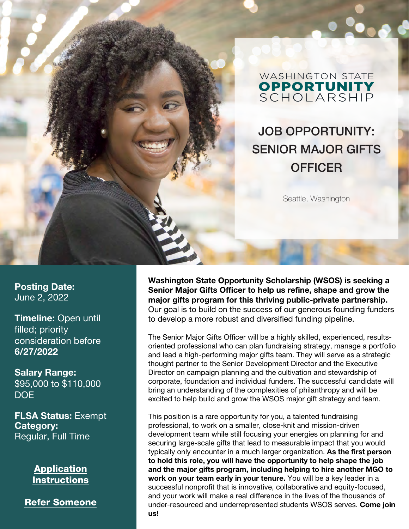

#### **WASHINGTON STATE OPPORTUNITY**<br>SCHOLARSHIP

#### JOB OPPORTUNITY: SENIOR MAJOR GIFTS **OFFICER**

Seattle, Washington

Posting Date: June 2, 2022

Timeline: Open until filled; priority consideration before 6/27/2022

Salary Range: \$95,000 to \$110,000 DOE

FLSA Status: Exempt Category: Regular, Full Time

> **Application [Instructions](#page-3-0)**

[Refer Someone](https://forms.gle/X7sXXRnx2SFkLsVC6)

Washington State Opportunity Scholarship (WSOS) is seeking a Senior Major Gifts Officer to help us refine, shape and grow the major gifts program for this thriving public-private partnership. Our goal is to build on the success of our generous founding funders to develop a more robust and diversified funding pipeline.

The Senior Major Gifts Officer will be a highly skilled, experienced, resultsoriented professional who can plan fundraising strategy, manage a portfolio and lead a high-performing major gifts team. They will serve as a strategic thought partner to the Senior Development Director and the Executive Director on campaign planning and the cultivation and stewardship of corporate, foundation and individual funders. The successful candidate will bring an understanding of the complexities of philanthropy and will be excited to help build and grow the WSOS major gift strategy and team.

This position is a rare opportunity for you, a talented fundraising professional, to work on a smaller, close-knit and mission-driven development team while still focusing your energies on planning for and securing large-scale gifts that lead to measurable impact that you would typically only encounter in a much larger organization. As the first person to hold this role, you will have the opportunity to help shape the job and the major gifts program, including helping to hire another MGO to work on your team early in your tenure. You will be a key leader in a successful nonprofit that is innovative, collaborative and equity-focused, and your work will make a real difference in the lives of the thousands of under-resourced and underrepresented students WSOS serves. Come join us!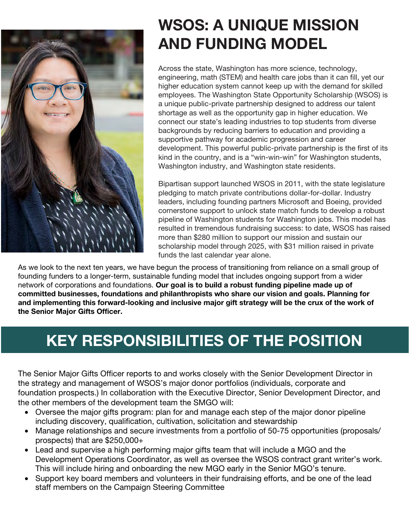

## WSOS: A UNIQUE MISSION AND FUNDING MODEL

Across the state, Washington has more science, technology, engineering, math (STEM) and health care jobs than it can fill, yet our higher education system cannot keep up with the demand for skilled employees. The Washington State Opportunity Scholarship (WSOS) is a unique public-private partnership designed to address our talent shortage as well as the opportunity gap in higher education. We connect our state's leading industries to top students from diverse backgrounds by reducing barriers to education and providing a supportive pathway for academic progression and career development. This powerful public-private partnership is the first of its kind in the country, and is a "win-win-win" for Washington students, Washington industry, and Washington state residents.

Bipartisan support launched WSOS in 2011, with the state legislature pledging to match private contributions dollar-for-dollar. Industry leaders, including founding partners Microsoft and Boeing, provided cornerstone support to unlock state match funds to develop a robust pipeline of Washington students for Washington jobs. This model has resulted in tremendous fundraising success: to date, WSOS has raised more than \$280 million to support our mission and sustain our scholarship model through 2025, with \$31 million raised in private funds the last calendar year alone.

As we look to the next ten years, we have begun the process of transitioning from reliance on a small group of founding funders to a longer-term, sustainable funding model that includes ongoing support from a wider network of corporations and foundations. Our goal is to build a robust funding pipeline made up of committed businesses, foundations and philanthropists who share our vision and goals. Planning for and implementing this forward-looking and inclusive major gift strategy will be the crux of the work of the Senior Major Gifts Officer.

# KEY RESPONSIBILITIES OF THE POSITION

The Senior Major Gifts Officer reports to and works closely with the Senior Development Director in the strategy and management of WSOS's major donor portfolios (individuals, corporate and foundation prospects.) In collaboration with the Executive Director, Senior Development Director, and the other members of the development team the SMGO will:

- Oversee the major gifts program: plan for and manage each step of the major donor pipeline including discovery, qualification, cultivation, solicitation and stewardship
- Manage relationships and secure investments from a portfolio of 50-75 opportunities (proposals/ prospects) that are \$250,000+
- Lead and supervise a high performing major gifts team that will include a MGO and the Development Operations Coordinator, as well as oversee the WSOS contract grant writer's work. This will include hiring and onboarding the new MGO early in the Senior MGO's tenure.
- Support key board members and volunteers in their fundraising efforts, and be one of the lead staff members on the Campaign Steering Committee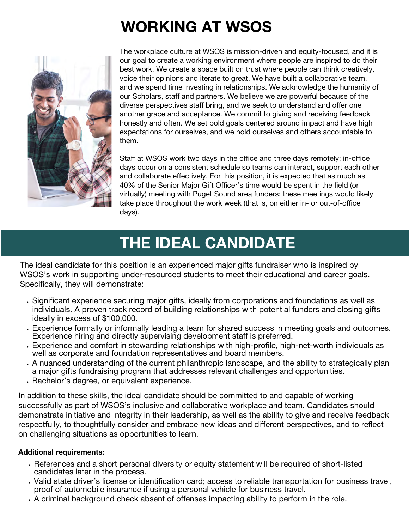# WORKING AT WSOS



The workplace culture at WSOS is mission-driven and equity-focused, and it is our goal to create a working environment where people are inspired to do their best work. We create a space built on trust where people can think creatively, voice their opinions and iterate to great. We have built a collaborative team, and we spend time investing in relationships. We acknowledge the humanity of our Scholars, staff and partners. We believe we are powerful because of the diverse perspectives staff bring, and we seek to understand and offer one another grace and acceptance. We commit to giving and receiving feedback honestly and often. We set bold goals centered around impact and have high expectations for ourselves, and we hold ourselves and others accountable to them.

Staff at WSOS work two days in the office and three days remotely; in-office days occur on a consistent schedule so teams can interact, support each other and collaborate effectively. For this position, it is expected that as much as 40% of the Senior Major Gift Officer's time would be spent in the field (or virtually) meeting with Puget Sound area funders; these meetings would likely take place throughout the work week (that is, on either in- or out-of-office days).

### THE IDEAL CANDIDATE

The ideal candidate for this position is an experienced major gifts fundraiser who is inspired by WSOS's work in supporting under-resourced students to meet their educational and career goals. Specifically, they will demonstrate:

- Significant experience securing major gifts, ideally from corporations and foundations as well as individuals. A proven track record of building relationships with potential funders and closing gifts ideally in excess of \$100,000.
- Experience formally or informally leading a team for shared success in meeting goals and outcomes. Experience hiring and directly supervising development staff is preferred.
- Experience and comfort in stewarding relationships with high-profile, high-net-worth individuals as well as corporate and foundation representatives and board members.
- A nuanced understanding of the current philanthropic landscape, and the ability to strategically plan a major gifts fundraising program that addresses relevant challenges and opportunities.
- Bachelor's degree, or equivalent experience.

In addition to these skills, the ideal candidate should be committed to and capable of working successfully as part of WSOS's inclusive and collaborative workplace and team. Candidates should demonstrate initiative and integrity in their leadership, as well as the ability to give and receive feedback respectfully, to thoughtfully consider and embrace new ideas and different perspectives, and to reflect on challenging situations as opportunities to learn.

#### Additional requirements:

- References and a short personal diversity or equity statement will be required of short-listed candidates later in the process.
- Valid state driver's license or identification card; access to reliable transportation for business travel, proof of automobile insurance if using a personal vehicle for business travel.
- A criminal background check absent of offenses impacting ability to perform in the role.